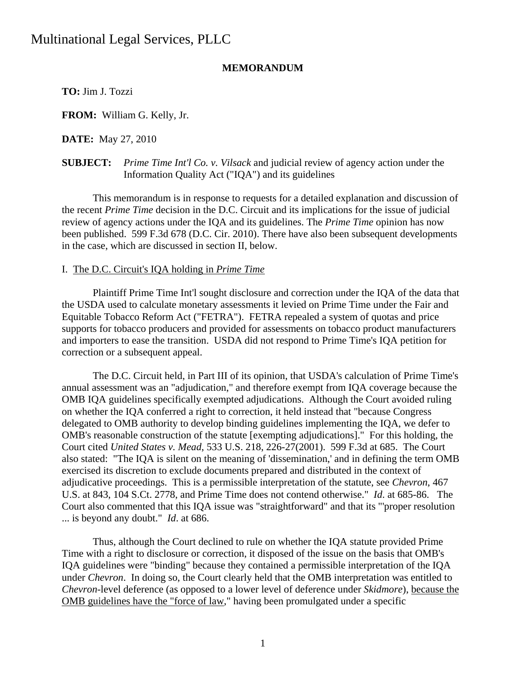### **MEMORANDUM**

**TO:** Jim J. Tozzi

**FROM:** William G. Kelly, Jr.

**DATE:** May 27, 2010

**SUBJECT:** *Prime Time Int'l Co. v. Vilsack* and judicial review of agency action under the Information Quality Act ("IQA") and its guidelines

 This memorandum is in response to requests for a detailed explanation and discussion of the recent *Prime Time* decision in the D.C. Circuit and its implications for the issue of judicial review of agency actions under the IQA and its guidelines. The *Prime Time* opinion has now been published. 599 F.3d 678 (D.C. Cir. 2010). There have also been subsequent developments in the case, which are discussed in section II, below.

### I. The D.C. Circuit's IQA holding in *Prime Time*

 Plaintiff Prime Time Int'l sought disclosure and correction under the IQA of the data that the USDA used to calculate monetary assessments it levied on Prime Time under the Fair and Equitable Tobacco Reform Act ("FETRA"). FETRA repealed a system of quotas and price supports for tobacco producers and provided for assessments on tobacco product manufacturers and importers to ease the transition. USDA did not respond to Prime Time's IQA petition for correction or a subsequent appeal.

 The D.C. Circuit held, in Part III of its opinion, that USDA's calculation of Prime Time's annual assessment was an "adjudication," and therefore exempt from IQA coverage because the OMB IQA guidelines specifically exempted adjudications. Although the Court avoided ruling on whether the IQA conferred a right to correction, it held instead that "because Congress delegated to OMB authority to develop binding guidelines implementing the IQA, we defer to OMB's reasonable construction of the statute [exempting adjudications]." For this holding, the Court cited *United States v. Mead*, 533 U.S. 218, 226-27(2001). 599 F.3d at 685. The Court also stated: "The IQA is silent on the meaning of 'dissemination,' and in defining the term OMB exercised its discretion to exclude documents prepared and distributed in the context of adjudicative proceedings. This is a permissible interpretation of the statute, see *Chevron*, 467 U.S. at 843, 104 S.Ct. 2778, and Prime Time does not contend otherwise." *Id*. at 685-86. The Court also commented that this IQA issue was "straightforward" and that its "'proper resolution ... is beyond any doubt." *Id*. at 686.

 Thus, although the Court declined to rule on whether the IQA statute provided Prime Time with a right to disclosure or correction, it disposed of the issue on the basis that OMB's IQA guidelines were "binding" because they contained a permissible interpretation of the IQA under *Chevron*. In doing so, the Court clearly held that the OMB interpretation was entitled to *Chevron*-level deference (as opposed to a lower level of deference under *Skidmore*), because the OMB guidelines have the "force of law," having been promulgated under a specific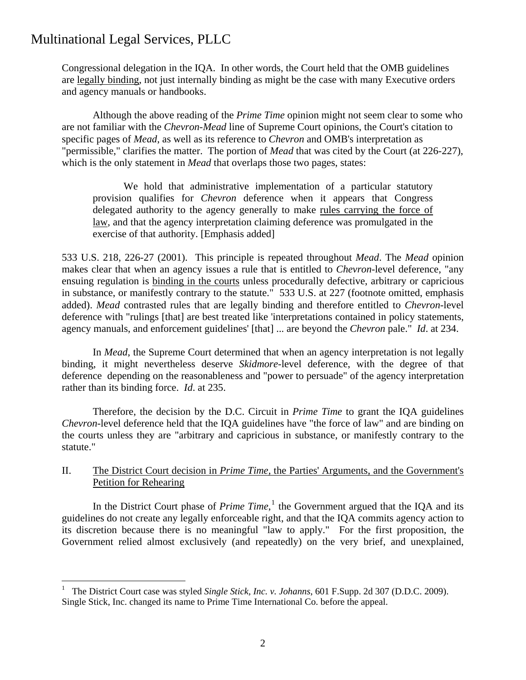$\overline{a}$ 

Congressional delegation in the IQA. In other words, the Court held that the OMB guidelines are legally binding, not just internally binding as might be the case with many Executive orders and agency manuals or handbooks.

 Although the above reading of the *Prime Time* opinion might not seem clear to some who are not familiar with the *Chevron-Mead* line of Supreme Court opinions, the Court's citation to specific pages of *Mead*, as well as its reference to *Chevron* and OMB's interpretation as "permissible," clarifies the matter. The portion of *Mead* that was cited by the Court (at 226-227), which is the only statement in *Mead* that overlaps those two pages, states:

 We hold that administrative implementation of a particular statutory provision qualifies for *Chevron* deference when it appears that Congress delegated authority to the agency generally to make rules carrying the force of law, and that the agency interpretation claiming deference was promulgated in the exercise of that authority. [Emphasis added]

533 U.S. 218, 226-27 (2001). This principle is repeated throughout *Mead*. The *Mead* opinion makes clear that when an agency issues a rule that is entitled to *Chevron*-level deference, "any ensuing regulation is binding in the courts unless procedurally defective, arbitrary or capricious in substance, or manifestly contrary to the statute." 533 U.S. at 227 (footnote omitted, emphasis added). *Mead* contrasted rules that are legally binding and therefore entitled to *Chevron*-level deference with "rulings [that] are best treated like 'interpretations contained in policy statements, agency manuals, and enforcement guidelines' [that] ... are beyond the *Chevron* pale." *Id*. at 234.

 In *Mead*, the Supreme Court determined that when an agency interpretation is not legally binding, it might nevertheless deserve *Skidmore*-level deference, with the degree of that deference depending on the reasonableness and "power to persuade" of the agency interpretation rather than its binding force. *Id*. at 235.

 Therefore, the decision by the D.C. Circuit in *Prime Time* to grant the IQA guidelines *Chevron*-level deference held that the IQA guidelines have "the force of law" and are binding on the courts unless they are "arbitrary and capricious in substance, or manifestly contrary to the statute."

### II. The District Court decision in *Prime Time,* the Parties' Arguments, and the Government's Petition for Rehearing

In the District Court phase of *Prime Time*,<sup>[1](#page-1-0)</sup> the Government argued that the IQA and its guidelines do not create any legally enforceable right, and that the IQA commits agency action to its discretion because there is no meaningful "law to apply." For the first proposition, the Government relied almost exclusively (and repeatedly) on the very brief, and unexplained,

<span id="page-1-0"></span><sup>1</sup> The District Court case was styled *Single Stick, Inc. v. Johanns*, 601 F.Supp. 2d 307 (D.D.C. 2009). Single Stick, Inc. changed its name to Prime Time International Co. before the appeal.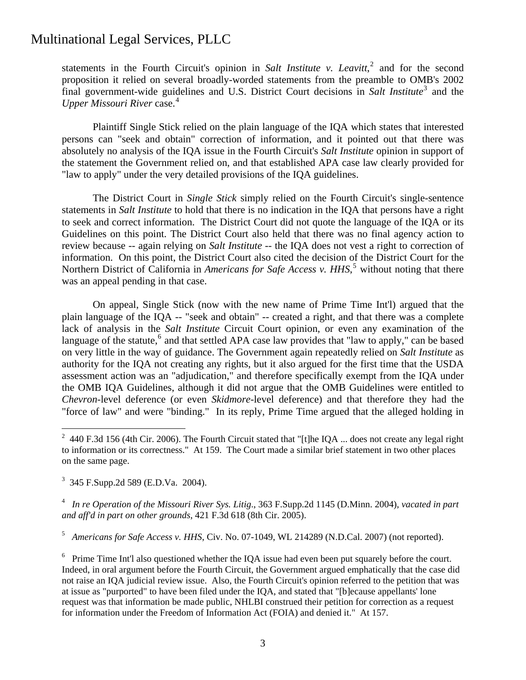statements in the Fourth Circuit's opinion in *Salt Institute v. Leavitt*,<sup>[2](#page-2-0)</sup> and for the second proposition it relied on several broadly-worded statements from the preamble to OMB's 2002 final government-wide guidelines and U.S. District Court decisions in *Salt Institute*[3](#page-2-1) and the *Upper Missouri River* case. [4](#page-2-2)

 Plaintiff Single Stick relied on the plain language of the IQA which states that interested persons can "seek and obtain" correction of information, and it pointed out that there was absolutely no analysis of the IQA issue in the Fourth Circuit's *Salt Institute* opinion in support of the statement the Government relied on, and that established APA case law clearly provided for "law to apply" under the very detailed provisions of the IQA guidelines.

 The District Court in *Single Stick* simply relied on the Fourth Circuit's single-sentence statements in *Salt Institute* to hold that there is no indication in the IQA that persons have a right to seek and correct information. The District Court did not quote the language of the IQA or its Guidelines on this point. The District Court also held that there was no final agency action to review because -- again relying on *Salt Institute* -- the IQA does not vest a right to correction of information. On this point, the District Court also cited the decision of the District Court for the Northern District of California in *Americans for Safe Access v. HHS*,<sup>[5](#page-2-3)</sup> without noting that there was an appeal pending in that case.

 On appeal, Single Stick (now with the new name of Prime Time Int'l) argued that the plain language of the IQA -- "seek and obtain" -- created a right, and that there was a complete lack of analysis in the *Salt Institute* Circuit Court opinion, or even any examination of the language of the statute,<sup>[6](#page-2-4)</sup> and that settled APA case law provides that "law to apply," can be based on very little in the way of guidance. The Government again repeatedly relied on *Salt Institute* as authority for the IQA not creating any rights, but it also argued for the first time that the USDA assessment action was an "adjudication," and therefore specifically exempt from the IQA under the OMB IQA Guidelines, although it did not argue that the OMB Guidelines were entitled to *Chevron*-level deference (or even *Skidmore*-level deference) and that therefore they had the "force of law" and were "binding." In its reply, Prime Time argued that the alleged holding in

<span id="page-2-1"></span>3 345 F.Supp.2d 589 (E.D.Va. 2004).

1

<span id="page-2-2"></span>4 *In re Operation of the Missouri River Sys. Litig*., 363 F.Supp.2d 1145 (D.Minn. 2004), *vacated in part and aff'd in part on other grounds*, 421 F.3d 618 (8th Cir. 2005).

<span id="page-2-3"></span>5 *Americans for Safe Access v. HHS*, Civ. No. 07-1049, WL 214289 (N.D.Cal. 2007) (not reported).

<span id="page-2-4"></span> $6$  Prime Time Int'l also questioned whether the IQA issue had even been put squarely before the court. Indeed, in oral argument before the Fourth Circuit, the Government argued emphatically that the case did not raise an IQA judicial review issue. Also, the Fourth Circuit's opinion referred to the petition that was at issue as "purported" to have been filed under the IQA, and stated that "[b]ecause appellants' lone request was that information be made public, NHLBI construed their petition for correction as a request for information under the Freedom of Information Act (FOIA) and denied it." At 157.

<span id="page-2-0"></span><sup>&</sup>lt;sup>2</sup> 440 F.3d 156 (4th Cir. 2006). The Fourth Circuit stated that "[t]he IQA ... does not create any legal right to information or its correctness." At 159. The Court made a similar brief statement in two other places on the same page.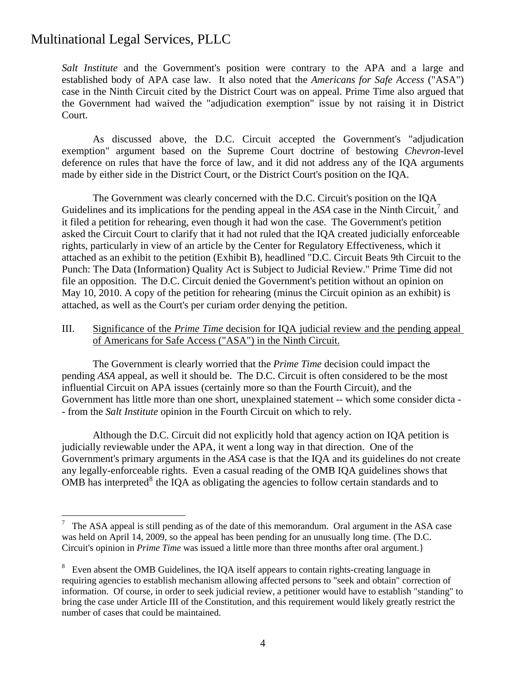$\overline{a}$ 

*Salt Institute* and the Government's position were contrary to the APA and a large and established body of APA case law. It also noted that the *Americans for Safe Access* ("ASA") case in the Ninth Circuit cited by the District Court was on appeal. Prime Time also argued that the Government had waived the "adjudication exemption" issue by not raising it in District Court.

 As discussed above, the D.C. Circuit accepted the Government's "adjudication exemption" argument based on the Supreme Court doctrine of bestowing *Chevron*-level deference on rules that have the force of law, and it did not address any of the IQA arguments made by either side in the District Court, or the District Court's position on the IQA.

 The Government was clearly concerned with the D.C. Circuit's position on the IQA Guidelines and its implications for the pending appeal in the  $ASA$  case in the Ninth Circuit,<sup>[7](#page-3-0)</sup> and it filed a petition for rehearing, even though it had won the case. The Government's petition asked the Circuit Court to clarify that it had not ruled that the IQA created judicially enforceable rights, particularly in view of an article by the Center for Regulatory Effectiveness, which it attached as an exhibit to the petition (Exhibit B), headlined "D.C. Circuit Beats 9th Circuit to the Punch: The Data (Information) Quality Act is Subject to Judicial Review." Prime Time did not file an opposition. The D.C. Circuit denied the Government's petition without an opinion on May 10, 2010. A copy of the petition for rehearing (minus the Circuit opinion as an exhibit) is attached, as well as the Court's per curiam order denying the petition.

### III. Significance of the *Prime Time* decision for IQA judicial review and the pending appeal of Americans for Safe Access ("ASA") in the Ninth Circuit.

 The Government is clearly worried that the *Prime Time* decision could impact the pending *ASA* appeal, as well it should be. The D.C. Circuit is often considered to be the most influential Circuit on APA issues (certainly more so than the Fourth Circuit), and the Government has little more than one short, unexplained statement -- which some consider dicta - - from the *Salt Institute* opinion in the Fourth Circuit on which to rely.

 Although the D.C. Circuit did not explicitly hold that agency action on IQA petition is judicially reviewable under the APA, it went a long way in that direction. One of the Government's primary arguments in the *ASA* case is that the IQA and its guidelines do not create any legally-enforceable rights. Even a casual reading of the OMB IQA guidelines shows that OMB has interpreted<sup>[8](#page-3-1)</sup> the IQA as obligating the agencies to follow certain standards and to

<span id="page-3-0"></span><sup>7</sup> The ASA appeal is still pending as of the date of this memorandum. Oral argument in the ASA case was held on April 14, 2009, so the appeal has been pending for an unusually long time. (The D.C. Circuit's opinion in *Prime Time* was issued a little more than three months after oral argument.}

<span id="page-3-1"></span><sup>&</sup>lt;sup>8</sup> Even absent the OMB Guidelines, the IQA itself appears to contain rights-creating language in requiring agencies to establish mechanism allowing affected persons to "seek and obtain" correction of information. Of course, in order to seek judicial review, a petitioner would have to establish "standing" to bring the case under Article III of the Constitution, and this requirement would likely greatly restrict the number of cases that could be maintained.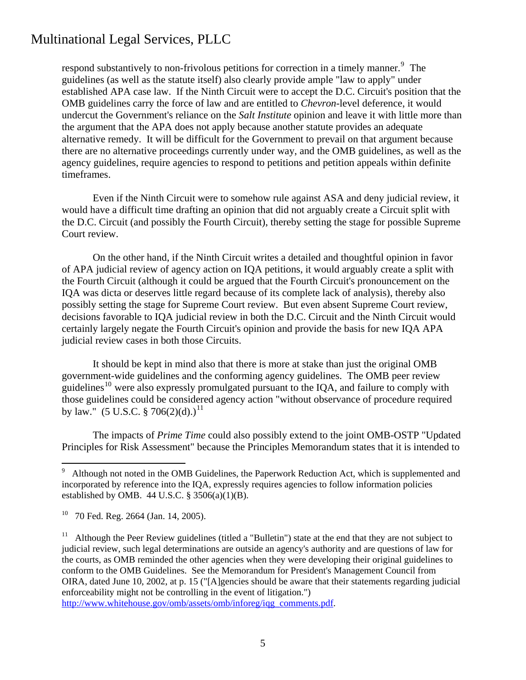respond substantively to non-frivolous petitions for correction in a timely manner.<sup>[9](#page-4-0)</sup> The guidelines (as well as the statute itself) also clearly provide ample "law to apply" under established APA case law. If the Ninth Circuit were to accept the D.C. Circuit's position that the OMB guidelines carry the force of law and are entitled to *Chevron*-level deference, it would undercut the Government's reliance on the *Salt Institute* opinion and leave it with little more than the argument that the APA does not apply because another statute provides an adequate alternative remedy. It will be difficult for the Government to prevail on that argument because there are no alternative proceedings currently under way, and the OMB guidelines, as well as the agency guidelines, require agencies to respond to petitions and petition appeals within definite timeframes.

 Even if the Ninth Circuit were to somehow rule against ASA and deny judicial review, it would have a difficult time drafting an opinion that did not arguably create a Circuit split with the D.C. Circuit (and possibly the Fourth Circuit), thereby setting the stage for possible Supreme Court review.

 On the other hand, if the Ninth Circuit writes a detailed and thoughtful opinion in favor of APA judicial review of agency action on IQA petitions, it would arguably create a split with the Fourth Circuit (although it could be argued that the Fourth Circuit's pronouncement on the IQA was dicta or deserves little regard because of its complete lack of analysis), thereby also possibly setting the stage for Supreme Court review. But even absent Supreme Court review, decisions favorable to IQA judicial review in both the D.C. Circuit and the Ninth Circuit would certainly largely negate the Fourth Circuit's opinion and provide the basis for new IQA APA judicial review cases in both those Circuits.

 It should be kept in mind also that there is more at stake than just the original OMB government-wide guidelines and the conforming agency guidelines. The OMB peer review guidelines<sup>[10](#page-4-1)</sup> were also expressly promulgated pursuant to the IOA, and failure to comply with those guidelines could be considered agency action "without observance of procedure required by law." (5 U.S.C. § 706(2)(d).)<sup>[11](#page-4-2)</sup>

 The impacts of *Prime Time* could also possibly extend to the joint OMB-OSTP "Updated Principles for Risk Assessment" because the Principles Memorandum states that it is intended to

 $\overline{a}$ 

[http://www.whitehouse.gov/omb/assets/omb/inforeg/iqg\\_comments.pdf](http://www.whitehouse.gov/omb/assets/omb/inforeg/iqg_comments.pdf).

<span id="page-4-0"></span><sup>&</sup>lt;sup>9</sup> Although not noted in the OMB Guidelines, the Paperwork Reduction Act, which is supplemented and incorporated by reference into the IQA, expressly requires agencies to follow information policies established by OMB. 44 U.S.C.  $\S$  3506(a)(1)(B).

<span id="page-4-1"></span><sup>10 70</sup> Fed. Reg. 2664 (Jan. 14, 2005).

<span id="page-4-2"></span><sup>&</sup>lt;sup>11</sup> Although the Peer Review guidelines (titled a "Bulletin") state at the end that they are not subject to judicial review, such legal determinations are outside an agency's authority and are questions of law for the courts, as OMB reminded the other agencies when they were developing their original guidelines to conform to the OMB Guidelines. See the Memorandum for President's Management Council from OIRA, dated June 10, 2002, at p. 15 ("[A]gencies should be aware that their statements regarding judicial enforceability might not be controlling in the event of litigation.")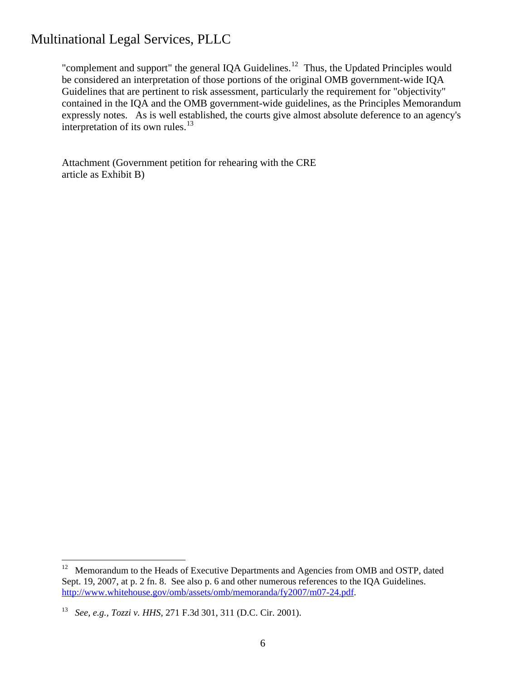be considered an interpretation of those portions of the original OMB government-wide IQA "complement and support" the general IQA Guidelines. $12$  Thus, the Updated Principles would Guidelines that are pertinent to risk assessment, particularly the requirement for "objectivity" contained in the IQA and the OMB government-wide guidelines, as the Principles Memorandum expressly notes. As is well established, the courts give almost absolute deference to an agency's interpretation of its own rules. $^{13}$  $^{13}$  $^{13}$ 

Attachment (Government petition for rehearing with the CRE article as Exhibit B)

<span id="page-5-0"></span> $12\,$ 12 Memorandum to the Heads of Executive Departments and Agencies from OMB and OSTP, dated Sept. 19, 2007, at p. 2 fn. 8. See also p. 6 and other numerous references to the IQA Guidelines. <http://www.whitehouse.gov/omb/assets/omb/memoranda/fy2007/m07-24.pdf>.

<span id="page-5-1"></span><sup>13</sup> *See, e.g., Tozzi v. HHS*, 271 F.3d 301, 311 (D.C. Cir. 2001).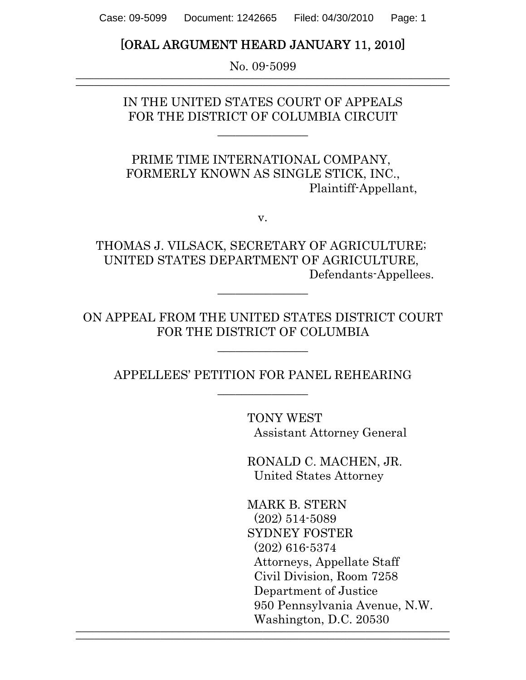Case: 09-5099 Document: 1242665 Filed: 04/30/2010 Page: 1

## [ORAL ARGUMENT HEARD JANUARY 11, 2010]

No. 09-5099  $\frac{1}{2}$  , and the set of the set of the set of the set of the set of the set of the set of the set of the set of the set of the set of the set of the set of the set of the set of the set of the set of the set of the set

> IN THE UNITED STATES COURT OF APPEALS FOR THE DISTRICT OF COLUMBIA CIRCUIT

> > \_\_\_\_\_\_\_\_\_\_\_\_\_\_\_

PRIME TIME INTERNATIONAL COMPANY, FORMERLY KNOWN AS SINGLE STICK, INC., Plaintiff-Appellant,

v.

THOMAS J. VILSACK, SECRETARY OF AGRICULTURE; UNITED STATES DEPARTMENT OF AGRICULTURE, Defendants-Appellees.

\_\_\_\_\_\_\_\_\_\_\_\_\_\_\_

ON APPEAL FROM THE UNITED STATES DISTRICT COURT FOR THE DISTRICT OF COLUMBIA

 $\overline{\phantom{a}}$  , where  $\overline{\phantom{a}}$ 

APPELLEES' PETITION FOR PANEL REHEARING  $\overline{\phantom{a}}$  , where  $\overline{\phantom{a}}$ 

 $\frac{1}{2}$  , and the contribution of  $\frac{1}{2}$  , and  $\frac{1}{2}$  , and  $\frac{1}{2}$  , and  $\frac{1}{2}$  , and  $\frac{1}{2}$  , and  $\frac{1}{2}$  , and  $\frac{1}{2}$  , and  $\frac{1}{2}$  , and  $\frac{1}{2}$  , and  $\frac{1}{2}$  , and  $\frac{1}{2}$  , and  $\frac{1}{2}$ 

 TONY WEST Assistant Attorney General

RONALD C. MACHEN, JR. United States Attorney

MARK B. STERN (202) 514-5089 SYDNEY FOSTER (202) 616-5374 Attorneys, Appellate Staff Civil Division, Room 7258 Department of Justice 950 Pennsylvania Avenue, N.W. Washington, D.C. 20530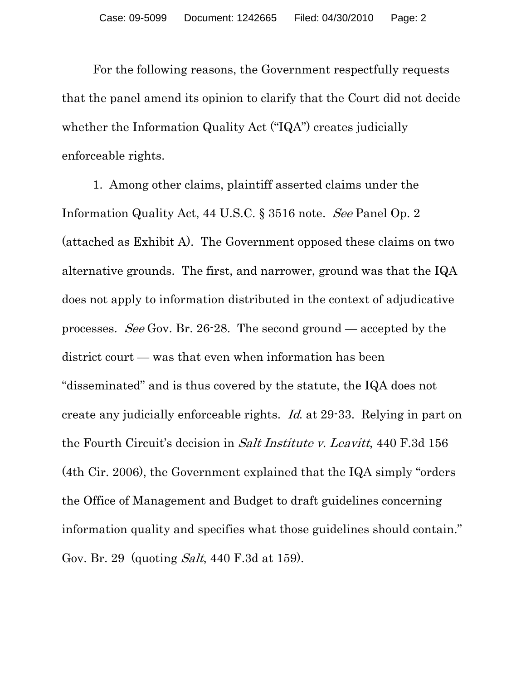For the following reasons, the Government respectfully requests that the panel amend its opinion to clarify that the Court did not decide whether the Information Quality Act ("IQA") creates judicially enforceable rights.

1. Among other claims, plaintiff asserted claims under the Information Quality Act, 44 U.S.C. § 3516 note. See Panel Op. 2 (attached as Exhibit A). The Government opposed these claims on two alternative grounds. The first, and narrower, ground was that the IQA does not apply to information distributed in the context of adjudicative processes. See Gov. Br. 26-28. The second ground — accepted by the district court — was that even when information has been "disseminated" and is thus covered by the statute, the IQA does not create any judicially enforceable rights. Id. at 29-33. Relying in part on the Fourth Circuit's decision in Salt Institute v. Leavitt, 440 F.3d 156 (4th Cir. 2006), the Government explained that the IQA simply "orders the Office of Management and Budget to draft guidelines concerning information quality and specifies what those guidelines should contain." Gov. Br. 29 (quoting Salt, 440 F.3d at 159).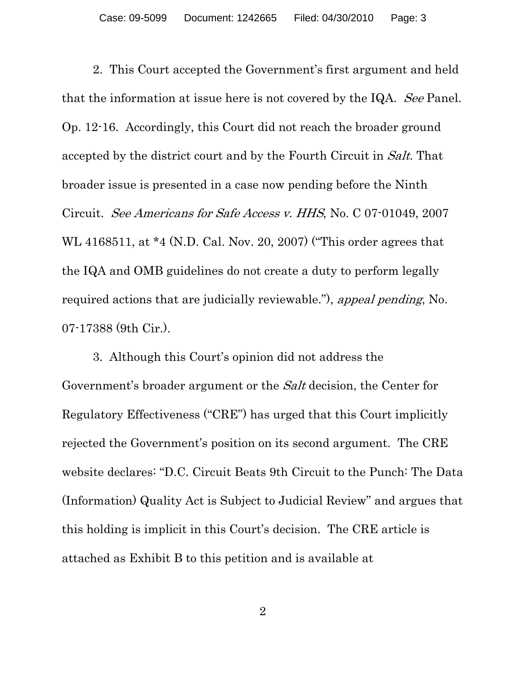2. This Court accepted the Government's first argument and held that the information at issue here is not covered by the IQA. See Panel. Op. 12-16. Accordingly, this Court did not reach the broader ground accepted by the district court and by the Fourth Circuit in Salt. That broader issue is presented in a case now pending before the Ninth Circuit. See Americans for Safe Access v. HHS, No. C 07-01049, 2007 WL 4168511, at \*4 (N.D. Cal. Nov. 20, 2007) ("This order agrees that the IQA and OMB guidelines do not create a duty to perform legally required actions that are judicially reviewable."), appeal pending, No. 07-17388 (9th Cir.).

3. Although this Court's opinion did not address the Government's broader argument or the Salt decision, the Center for Regulatory Effectiveness ("CRE") has urged that this Court implicitly rejected the Government's position on its second argument. The CRE website declares: "D.C. Circuit Beats 9th Circuit to the Punch: The Data (Information) Quality Act is Subject to Judicial Review" and argues that this holding is implicit in this Court's decision. The CRE article is attached as Exhibit B to this petition and is available at

2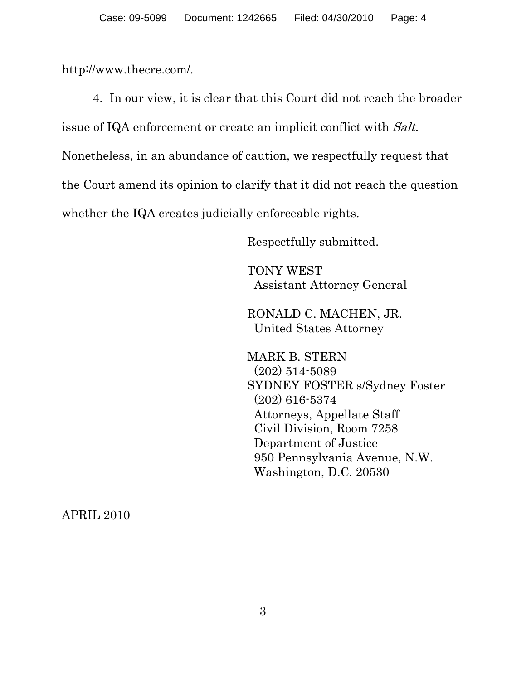http://www.thecre.com/.

4. In our view, it is clear that this Court did not reach the broader issue of IQA enforcement or create an implicit conflict with Salt. Nonetheless, in an abundance of caution, we respectfully request that the Court amend its opinion to clarify that it did not reach the question whether the IQA creates judicially enforceable rights.

Respectfully submitted.

TONY WEST Assistant Attorney General

RONALD C. MACHEN, JR. United States Attorney

MARK B. STERN (202) 514-5089 SYDNEY FOSTER s/Sydney Foster (202) 616-5374 Attorneys, Appellate Staff Civil Division, Room 7258 Department of Justice 950 Pennsylvania Avenue, N.W. Washington, D.C. 20530

APRIL 2010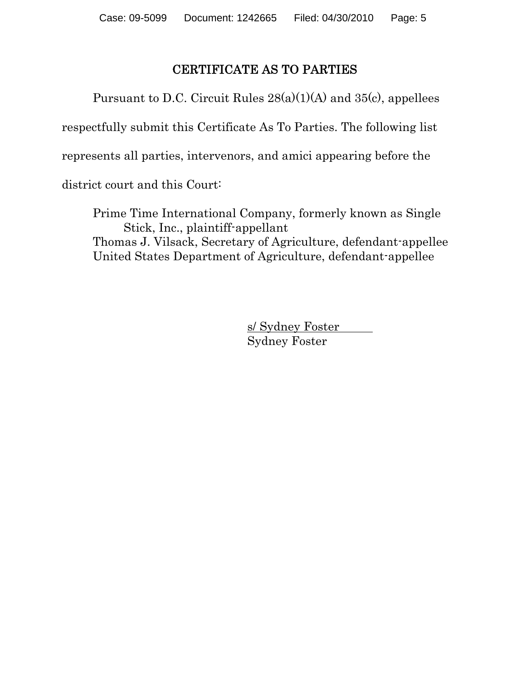# CERTIFICATE AS TO PARTIES

Pursuant to D.C. Circuit Rules  $28(a)(1)(A)$  and  $35(c)$ , appellees

respectfully submit this Certificate As To Parties. The following list

represents all parties, intervenors, and amici appearing before the

district court and this Court:

Prime Time International Company, formerly known as Single Stick, Inc., plaintiff-appellant Thomas J. Vilsack, Secretary of Agriculture, defendant-appellee United States Department of Agriculture, defendant-appellee

> s/ Sydney Foster Sydney Foster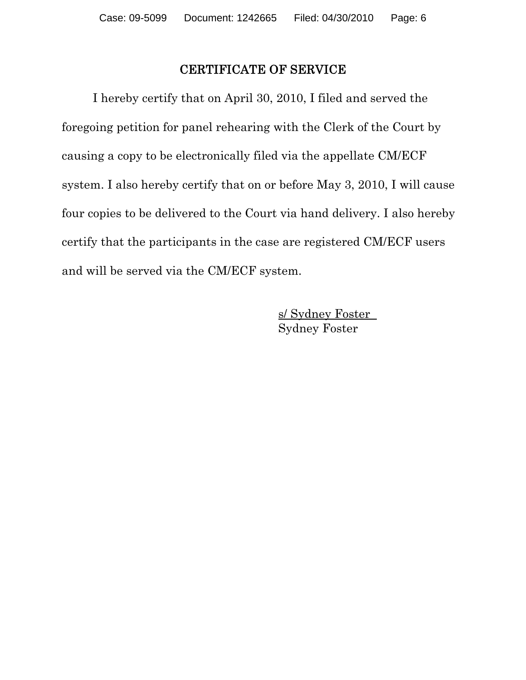### CERTIFICATE OF SERVICE

I hereby certify that on April 30, 2010, I filed and served the foregoing petition for panel rehearing with the Clerk of the Court by causing a copy to be electronically filed via the appellate CM/ECF system. I also hereby certify that on or before May 3, 2010, I will cause four copies to be delivered to the Court via hand delivery. I also hereby certify that the participants in the case are registered CM/ECF users and will be served via the CM/ECF system.

> s/ Sydney Foster Sydney Foster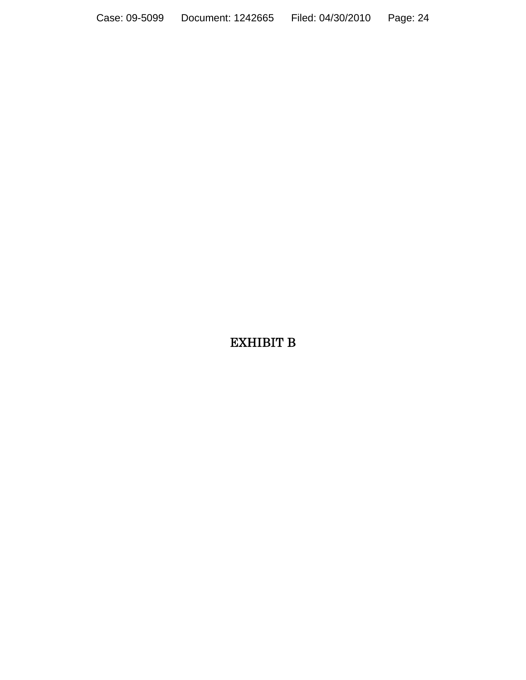Case: 09-5099 Document: 1242665 Filed: 04/30/2010 Page: 24

# EXHIBIT B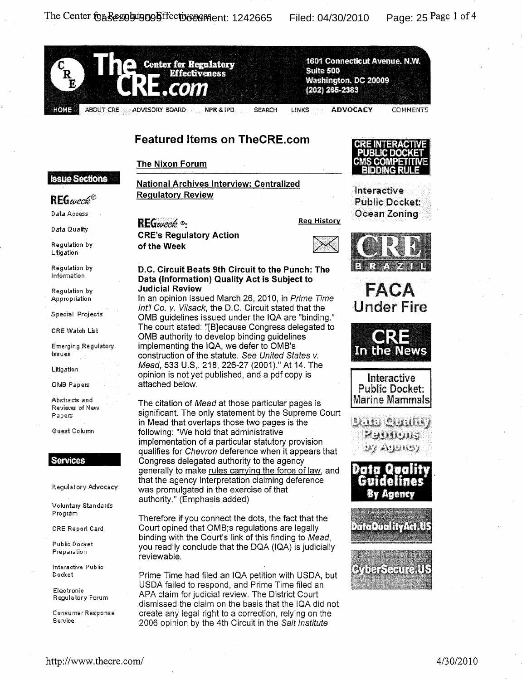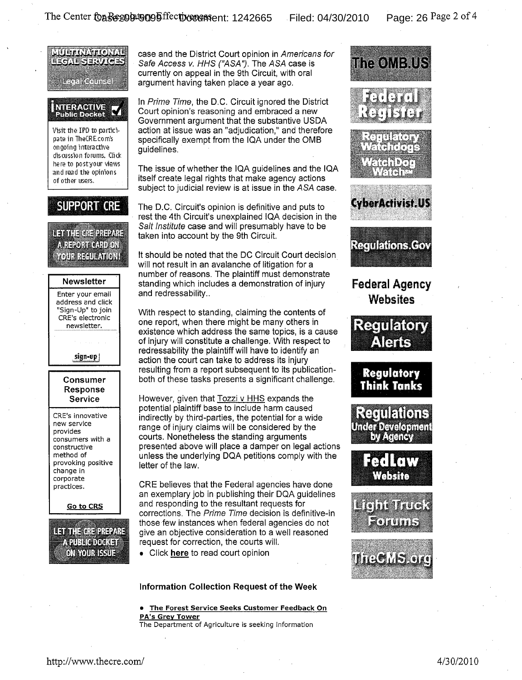

case and the District Court opinion in Americans for Safe Access v. HHS ("ASA"). The ASA case is currently on appeal in the 9th Circuit, with oral argument having taken place a year ago.

In Prime Time, the D.C. Circuit ignored the District Court opinion's reasoning and embraced a new Government argument that the substantive USDA action at issue was an "adjudication," and therefore specifically exempt from the IQA under the OMB guidelines.

The issue of whether the IQA guidelines and the IQA itself create legal rights that make agency actions subject to judicial review is at issue in the ASA case.

The D.C. Circuit's opinion is definitive and puts to rest the 4th Circuit's unexplained IQA decision in the Salt Institute case and will presumably have to be taken into account by the 9th Circuit.

It should be noted that the DC Circuit Court decision will not result in an avalanche of litigation for a number of reasons. The plaintiff must demonstrate standing which includes a demonstration of injury and redressability..

With respect to standing, claiming the contents of one report, when there might be many others in existence which address the same topics, is a cause of injury will constitute a challenge. With respect to redressability the plaintiff will have to identify an action the court can take to address its injury resulting from a report subsequent to its publicationboth of these tasks presents a significant challenge.

However, given that Tozzi v HHS expands the potential plaintiff base to include harm caused indirectly by third-parties, the potential for a wide range of injury claims will be considered by the courts. Nonetheless the standing arguments presented above will place a damper on legal actions unless the underlying DQA petitions comply with the letter of the law.

CRE believes that the Federal agencies have done an exemplary job in publishing their DQA guidelines and responding to the resultant requests for corrections. The Prime Time decision is definitive-in those few instances when federal agencies do not give an objective consideration to a well reasoned request for correction, the courts will.

• Click here to read court opinion

### Information Collection Request of the Week

### • The Forest Service Seeks Customer Feedback On PA's Grey Tower

The Department of Agriculture is seeking information